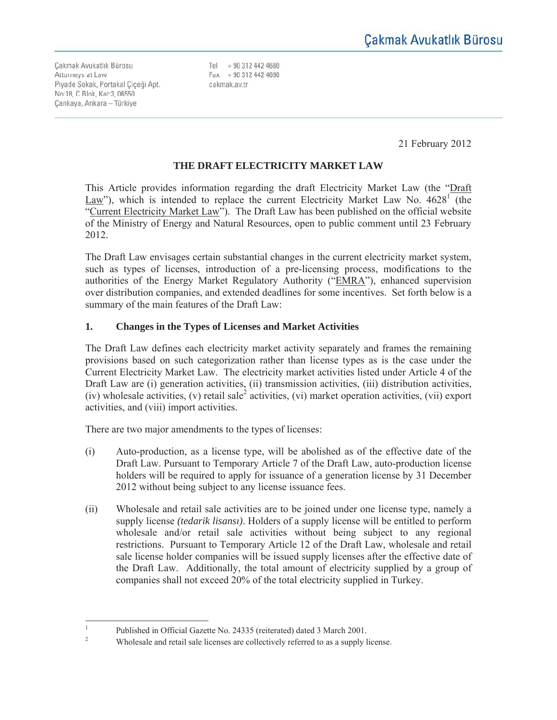Çakmak Avukatlık Bürosu Attorneys at Law Piyade Sokak, Portakal Çiçeği Apt. No:18, C Blok, Kat:3, 06550 Cankaya, Ankara - Türkiye

Tel + 90 312 442 4680  $Fax + 903124424690$ cakmak.av.tr

21 February 2012

# **THE DRAFT ELECTRICITY MARKET LAW**

This Article provides information regarding the draft Electricity Market Law (the "Draft Law"), which is intended to replace the current Electricity Market Law No.  $4628^{\frac{1}{1}}$  (the "Current Electricity Market Law"). The Draft Law has been published on the official website of the Ministry of Energy and Natural Resources, open to public comment until 23 February 2012.

The Draft Law envisages certain substantial changes in the current electricity market system, such as types of licenses, introduction of a pre-licensing process, modifications to the authorities of the Energy Market Regulatory Authority ("EMRA"), enhanced supervision over distribution companies, and extended deadlines for some incentives. Set forth below is a summary of the main features of the Draft Law:

### **1. Changes in the Types of Licenses and Market Activities**

The Draft Law defines each electricity market activity separately and frames the remaining provisions based on such categorization rather than license types as is the case under the Current Electricity Market Law. The electricity market activities listed under Article 4 of the Draft Law are (i) generation activities, (ii) transmission activities, (iii) distribution activities, (iv) wholesale activities, (v) retail sale<sup>2</sup> activities, (vi) market operation activities, (vii) export activities, and (viii) import activities.

There are two major amendments to the types of licenses:

- (i) Auto-production, as a license type, will be abolished as of the effective date of the Draft Law. Pursuant to Temporary Article 7 of the Draft Law, auto-production license holders will be required to apply for issuance of a generation license by 31 December 2012 without being subject to any license issuance fees.
- (ii) Wholesale and retail sale activities are to be joined under one license type, namely a supply license *(tedarik lisansı)*. Holders of a supply license will be entitled to perform wholesale and/or retail sale activities without being subject to any regional restrictions. Pursuant to Temporary Article 12 of the Draft Law, wholesale and retail sale license holder companies will be issued supply licenses after the effective date of the Draft Law. Additionally, the total amount of electricity supplied by a group of companies shall not exceed 20% of the total electricity supplied in Turkey.

 $\frac{1}{1}$ Published in Official Gazette No. 24335 (reiterated) dated 3 March 2001.

<sup>2</sup> Wholesale and retail sale licenses are collectively referred to as a supply license.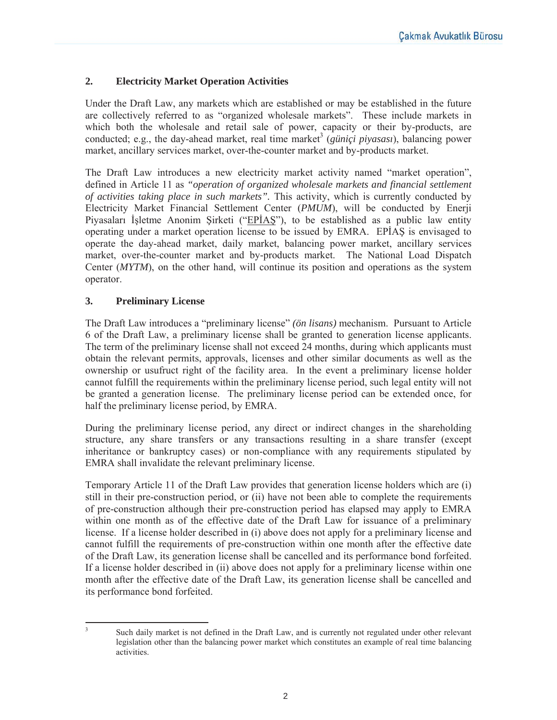## **2. Electricity Market Operation Activities**

Under the Draft Law, any markets which are established or may be established in the future are collectively referred to as "organized wholesale markets". These include markets in which both the wholesale and retail sale of power, capacity or their by-products, are conducted; e.g., the day-ahead market, real time market<sup>3</sup> (*güniçi piyasası*), balancing power market, ancillary services market, over-the-counter market and by-products market.

The Draft Law introduces a new electricity market activity named "market operation", defined in Article 11 as *"operation of organized wholesale markets and financial settlement of activities taking place in such markets".* This activity, which is currently conducted by Electricity Market Financial Settlement Center (*PMUM*), will be conducted by Enerji Piyasaları İşletme Anonim Şirketi ("EPİAŞ"), to be established as a public law entity operating under a market operation license to be issued by EMRA. EPIAS is envisaged to operate the day-ahead market, daily market, balancing power market, ancillary services market, over-the-counter market and by-products market. The National Load Dispatch Center (*MYTM*), on the other hand, will continue its position and operations as the system operator.

### **3. Preliminary License**

The Draft Law introduces a "preliminary license" *(ön lisans)* mechanism. Pursuant to Article 6 of the Draft Law, a preliminary license shall be granted to generation license applicants. The term of the preliminary license shall not exceed 24 months, during which applicants must obtain the relevant permits, approvals, licenses and other similar documents as well as the ownership or usufruct right of the facility area. In the event a preliminary license holder cannot fulfill the requirements within the preliminary license period, such legal entity will not be granted a generation license. The preliminary license period can be extended once, for half the preliminary license period, by EMRA.

During the preliminary license period, any direct or indirect changes in the shareholding structure, any share transfers or any transactions resulting in a share transfer (except inheritance or bankruptcy cases) or non-compliance with any requirements stipulated by EMRA shall invalidate the relevant preliminary license.

Temporary Article 11 of the Draft Law provides that generation license holders which are (i) still in their pre-construction period, or (ii) have not been able to complete the requirements of pre-construction although their pre-construction period has elapsed may apply to EMRA within one month as of the effective date of the Draft Law for issuance of a preliminary license. If a license holder described in (i) above does not apply for a preliminary license and cannot fulfill the requirements of pre-construction within one month after the effective date of the Draft Law, its generation license shall be cancelled and its performance bond forfeited. If a license holder described in (ii) above does not apply for a preliminary license within one month after the effective date of the Draft Law, its generation license shall be cancelled and its performance bond forfeited.

 $\frac{1}{3}$ 

Such daily market is not defined in the Draft Law, and is currently not regulated under other relevant legislation other than the balancing power market which constitutes an example of real time balancing activities.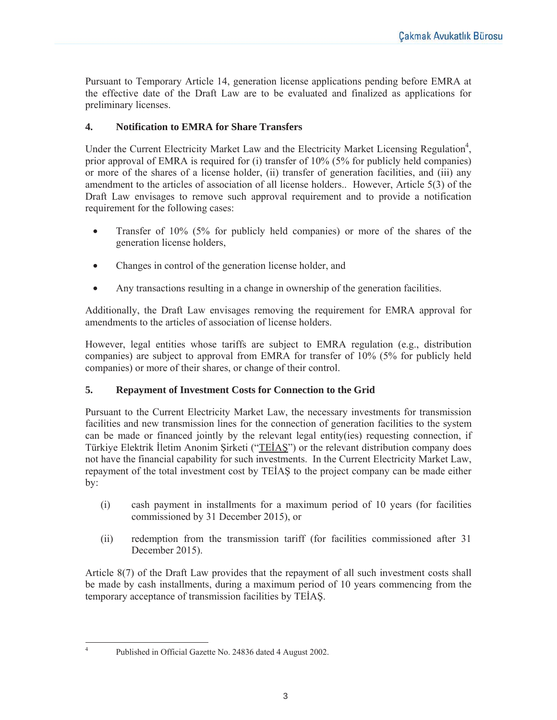Pursuant to Temporary Article 14, generation license applications pending before EMRA at the effective date of the Draft Law are to be evaluated and finalized as applications for preliminary licenses.

## **4. Notification to EMRA for Share Transfers**

Under the Current Electricity Market Law and the Electricity Market Licensing Regulation<sup>4</sup>, prior approval of EMRA is required for (i) transfer of 10% (5% for publicly held companies) or more of the shares of a license holder, (ii) transfer of generation facilities, and (iii) any amendment to the articles of association of all license holders.. However, Article 5(3) of the Draft Law envisages to remove such approval requirement and to provide a notification requirement for the following cases:

- Transfer of 10% (5% for publicly held companies) or more of the shares of the generation license holders,
- Changes in control of the generation license holder, and
- Any transactions resulting in a change in ownership of the generation facilities.

Additionally, the Draft Law envisages removing the requirement for EMRA approval for amendments to the articles of association of license holders.

However, legal entities whose tariffs are subject to EMRA regulation (e.g., distribution companies) are subject to approval from EMRA for transfer of 10% (5% for publicly held companies) or more of their shares, or change of their control.

# **5. Repayment of Investment Costs for Connection to the Grid**

Pursuant to the Current Electricity Market Law, the necessary investments for transmission facilities and new transmission lines for the connection of generation facilities to the system can be made or financed jointly by the relevant legal entity(ies) requesting connection, if Türkiye Elektrik İletim Anonim Şirketi ("TEİAŞ") or the relevant distribution company does not have the financial capability for such investments. In the Current Electricity Market Law, repayment of the total investment cost by TEİAŞ to the project company can be made either by:

- (i) cash payment in installments for a maximum period of 10 years (for facilities commissioned by 31 December 2015), or
- (ii) redemption from the transmission tariff (for facilities commissioned after 31 December 2015).

Article 8(7) of the Draft Law provides that the repayment of all such investment costs shall be made by cash installments, during a maximum period of 10 years commencing from the temporary acceptance of transmission facilities by TEİAS.

 $\frac{1}{4}$ 

Published in Official Gazette No. 24836 dated 4 August 2002.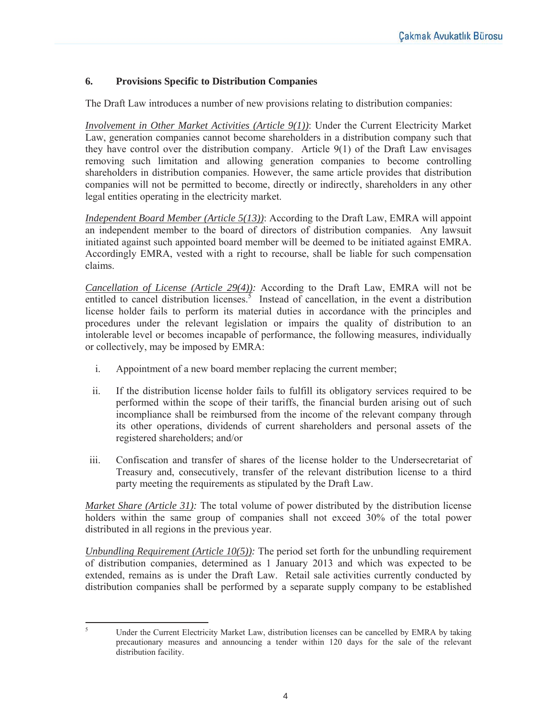### **6. Provisions Specific to Distribution Companies**

The Draft Law introduces a number of new provisions relating to distribution companies:

*Involvement in Other Market Activities (Article 9(1))*: Under the Current Electricity Market Law, generation companies cannot become shareholders in a distribution company such that they have control over the distribution company. Article 9(1) of the Draft Law envisages removing such limitation and allowing generation companies to become controlling shareholders in distribution companies. However, the same article provides that distribution companies will not be permitted to become, directly or indirectly, shareholders in any other legal entities operating in the electricity market.

*Independent Board Member (Article 5(13))*: According to the Draft Law, EMRA will appoint an independent member to the board of directors of distribution companies. Any lawsuit initiated against such appointed board member will be deemed to be initiated against EMRA. Accordingly EMRA, vested with a right to recourse, shall be liable for such compensation claims.

*Cancellation of License (Article 29(4)):* According to the Draft Law, EMRA will not be entitled to cancel distribution licenses.<sup>5</sup> Instead of cancellation, in the event a distribution license holder fails to perform its material duties in accordance with the principles and procedures under the relevant legislation or impairs the quality of distribution to an intolerable level or becomes incapable of performance, the following measures, individually or collectively, may be imposed by EMRA:

- i. Appointment of a new board member replacing the current member;
- ii. If the distribution license holder fails to fulfill its obligatory services required to be performed within the scope of their tariffs, the financial burden arising out of such incompliance shall be reimbursed from the income of the relevant company through its other operations, dividends of current shareholders and personal assets of the registered shareholders; and/or
- iii. Confiscation and transfer of shares of the license holder to the Undersecretariat of Treasury and, consecutively, transfer of the relevant distribution license to a third party meeting the requirements as stipulated by the Draft Law.

*Market Share (Article 31):* The total volume of power distributed by the distribution license holders within the same group of companies shall not exceed 30% of the total power distributed in all regions in the previous year.

*Unbundling Requirement (Article 10(5)):* The period set forth for the unbundling requirement of distribution companies, determined as 1 January 2013 and which was expected to be extended, remains as is under the Draft Law. Retail sale activities currently conducted by distribution companies shall be performed by a separate supply company to be established

 $\frac{1}{5}$ 

Under the Current Electricity Market Law, distribution licenses can be cancelled by EMRA by taking precautionary measures and announcing a tender within 120 days for the sale of the relevant distribution facility.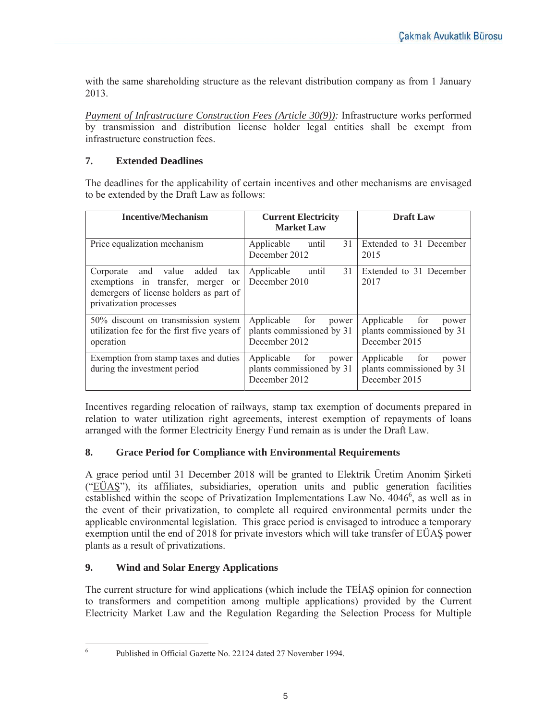with the same shareholding structure as the relevant distribution company as from 1 January 2013.

*Payment of Infrastructure Construction Fees (Article 30(9)):* Infrastructure works performed by transmission and distribution license holder legal entities shall be exempt from infrastructure construction fees.

# **7. Extended Deadlines**

The deadlines for the applicability of certain incentives and other mechanisms are envisaged to be extended by the Draft Law as follows:

| <b>Incentive/Mechanism</b>                                                                                                                                            | <b>Current Electricity</b><br><b>Market Law</b>                          | <b>Draft Law</b>                                                         |
|-----------------------------------------------------------------------------------------------------------------------------------------------------------------------|--------------------------------------------------------------------------|--------------------------------------------------------------------------|
| Price equalization mechanism                                                                                                                                          | 31<br>Applicable<br>until<br>December 2012                               | Extended to 31 December<br>2015                                          |
| added<br>value<br>Corporate<br>and<br>tax<br>exemptions in transfer,<br>merger<br><sub>or</sub><br>demergers of license holders as part of<br>privatization processes | 31<br>Applicable<br>until<br>December 2010                               | Extended to 31 December<br>2017                                          |
| 50% discount on transmission system<br>utilization fee for the first five years of<br>operation                                                                       | Applicable<br>for<br>power<br>plants commissioned by 31<br>December 2012 | Applicable<br>for<br>power<br>plants commissioned by 31<br>December 2015 |
| Exemption from stamp taxes and duties<br>during the investment period                                                                                                 | Applicable<br>for<br>power<br>plants commissioned by 31<br>December 2012 | Applicable<br>for<br>power<br>plants commissioned by 31<br>December 2015 |

Incentives regarding relocation of railways, stamp tax exemption of documents prepared in relation to water utilization right agreements, interest exemption of repayments of loans arranged with the former Electricity Energy Fund remain as is under the Draft Law.

### **8. Grace Period for Compliance with Environmental Requirements**

A grace period until 31 December 2018 will be granted to Elektrik Üretim Anonim Şirketi ("EÜAS"), its affiliates, subsidiaries, operation units and public generation facilities established within the scope of Privatization Implementations Law No.  $4046^6$ , as well as in the event of their privatization, to complete all required environmental permits under the applicable environmental legislation. This grace period is envisaged to introduce a temporary exemption until the end of 2018 for private investors which will take transfer of EÜAŞ power plants as a result of privatizations.

# **9. Wind and Solar Energy Applications**

The current structure for wind applications (which include the TEIAS opinion for connection to transformers and competition among multiple applications) provided by the Current Electricity Market Law and the Regulation Regarding the Selection Process for Multiple

 $\frac{1}{6}$ 

Published in Official Gazette No. 22124 dated 27 November 1994.